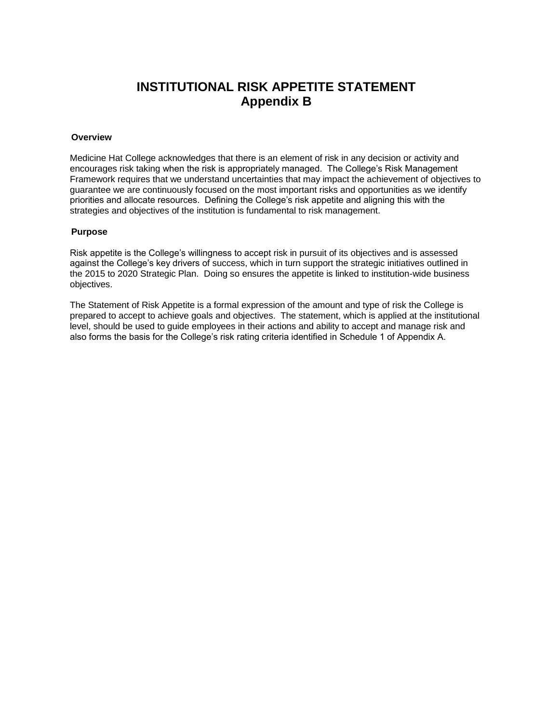## **INSTITUTIONAL RISK APPETITE STATEMENT Appendix B**

#### **Overview**

Medicine Hat College acknowledges that there is an element of risk in any decision or activity and encourages risk taking when the risk is appropriately managed. The College's Risk Management Framework requires that we understand uncertainties that may impact the achievement of objectives to guarantee we are continuously focused on the most important risks and opportunities as we identify priorities and allocate resources. Defining the College's risk appetite and aligning this with the strategies and objectives of the institution is fundamental to risk management.

#### **Purpose**

Risk appetite is the College's willingness to accept risk in pursuit of its objectives and is assessed against the College's key drivers of success, which in turn support the strategic initiatives outlined in the 2015 to 2020 Strategic Plan. Doing so ensures the appetite is linked to institution-wide business objectives.

The Statement of Risk Appetite is a formal expression of the amount and type of risk the College is prepared to accept to achieve goals and objectives. The statement, which is applied at the institutional level, should be used to guide employees in their actions and ability to accept and manage risk and also forms the basis for the College's risk rating criteria identified in Schedule 1 of Appendix A.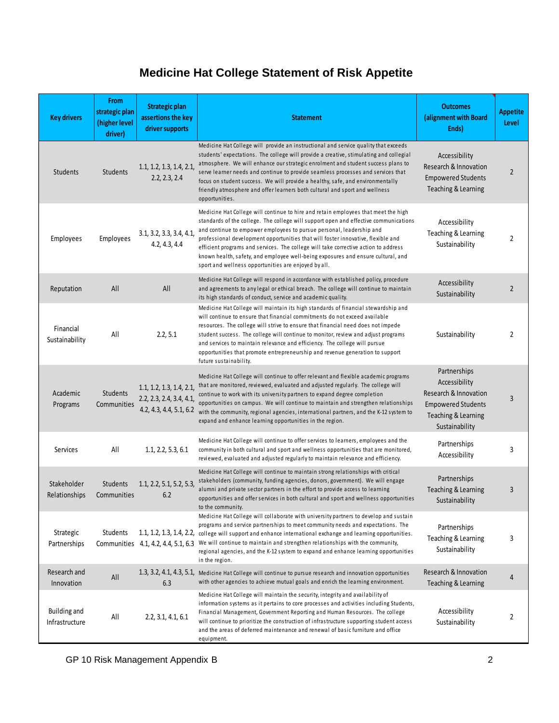# **Medicine Hat College Statement of Risk Appetite**

| <b>Key drivers</b>                    | <b>From</b><br>strategic plan<br>(higher level<br>driver) | <b>Strategic plan</b><br>assertions the key<br>driver supports                  | <b>Statement</b>                                                                                                                                                                                                                                                                                                                                                                                                                                                                                                                                                          | <b>Outcomes</b><br>(alignment with Board<br>Ends)                                                                            | <b>Appetite</b><br>Level |
|---------------------------------------|-----------------------------------------------------------|---------------------------------------------------------------------------------|---------------------------------------------------------------------------------------------------------------------------------------------------------------------------------------------------------------------------------------------------------------------------------------------------------------------------------------------------------------------------------------------------------------------------------------------------------------------------------------------------------------------------------------------------------------------------|------------------------------------------------------------------------------------------------------------------------------|--------------------------|
| Students                              | Students                                                  | 1.1, 1.2, 1.3, 1.4, 2.1,<br>2.2, 2.3, 2.4                                       | Medicine Hat College will provide an instructional and service quality that exceeds<br>students' expectations. The college will provide a creative, stimulating and collegial<br>atmosphere. We will enhance our strategic enrolment and student success plans to<br>serve learner needs and continue to provide seamless processes and services that<br>focus on student success. We will provide a healthy, safe, and environmentally<br>friendly atmosphere and offer learners both cultural and sport and wellness<br>opportunities.                                  | Accessibility<br>Research & Innovation<br><b>Empowered Students</b><br>Teaching & Learning                                   | 2                        |
| Employees                             | Employees                                                 | 3.1, 3.2, 3.3, 3.4, 4.1,<br>4.2, 4.3, 4.4                                       | Medicine Hat College will continue to hire and retain employees that meet the high<br>standards of the college. The college will support open and effective communications<br>and continue to empower employees to pursue personal, leadership and<br>professional development opportunities that will foster innovative, flexible and<br>efficient programs and services. The college will take corrective action to address<br>known health, safety, and employee well-being exposures and ensure cultural, and<br>sport and wellness opportunities are enjoyed by all. | Accessibility<br>Teaching & Learning<br>Sustainability                                                                       | 2                        |
| Reputation                            | All                                                       | All                                                                             | Medicine Hat College will respond in accordance with established policy, procedure<br>and agreements to any legal or ethical breach. The college will continue to maintain<br>its high standards of conduct, service and academic quality.                                                                                                                                                                                                                                                                                                                                | Accessibility<br>Sustainability                                                                                              | $\overline{2}$           |
| Financial<br>Sustainability           | All                                                       | 2.2, 5.1                                                                        | Medicine Hat College will maintain its high standards of financial stewardship and<br>will continue to ensure that financial commitments do not exceed available<br>resources. The college will strive to ensure that financial need does not impede<br>student success. The college will continue to monitor, review and adjust programs<br>and services to maintain relevance and efficiency. The college will pursue<br>opportunities that promote entrepreneurship and revenue generation to support<br>future sustainability.                                        | Sustainability                                                                                                               | 2                        |
| Academic<br>Programs                  | Students<br>Communities                                   | 1.1, 1.2, 1.3, 1.4, 2.1,<br>2.2, 2.3, 2.4, 3.4, 4.1,<br>4.2, 4.3, 4.4, 5.1, 6.2 | Medicine Hat College will continue to offer relevant and flexible academic programs<br>that are monitored, reviewed, evaluated and adjusted regularly. The college will<br>continue to work with its university partners to expand degree completion<br>opportunities on campus. We will continue to maintain and strengthen relationships<br>with the community, regional agencies, international partners, and the K-12 system to<br>expand and enhance learning opportunities in the region.                                                                           | Partnerships<br>Accessibility<br>Research & Innovation<br><b>Empowered Students</b><br>Teaching & Learning<br>Sustainability | 3                        |
| Services                              | All                                                       | 1.1, 2.2, 5.3, 6.1                                                              | Medicine Hat College will continue to offer services to learners, employees and the<br>community in both cultural and sport and wellness opportunities that are monitored,<br>reviewed, evaluated and adjusted regularly to maintain relevance and efficiency.                                                                                                                                                                                                                                                                                                            | Partnerships<br>Accessibility                                                                                                | 3                        |
| Stakeholder<br>Relationships          | <b>Students</b><br>Communities                            | 1.1, 2.2, 5.1, 5.2, 5.3,<br>6.2                                                 | Medicine Hat College will continue to maintain strong relationships with critical<br>stakeholders (community, funding agencies, donors, government). We will engage<br>alumni and private sector partners in the effort to provide access to learning<br>opportunities and offer services in both cultural and sport and wellness opportunities<br>to the community.                                                                                                                                                                                                      | Partnerships<br>Teaching & Learning<br>Sustainability                                                                        | 3                        |
| Strategic<br>Partnerships             | Students                                                  | Communities 4.1, 4.2, 4.4, 5.1, 6.3                                             | Medicine Hat College will collaborate with university partners to develop and sustain<br>programs and service partnerships to meet community needs and expectations. The<br>1.1, 1.2, 1.3, 1.4, 2.2, college will support and enhance international exchange and learning opportunities.<br>We will continue to maintain and strengthen relationships with the community,<br>regional agencies, and the K-12 system to expand and enhance learning opportunities<br>in the region.                                                                                        | Partnerships<br>Teaching & Learning<br>Sustainability                                                                        | 3                        |
| Research and<br>Innovation            | All                                                       | 6.3                                                                             | 1.3, 3.2, 4.1, 4.3, 5.1, Medicine Hat College will continue to pursue research and innovation opportunities<br>with other agencies to achieve mutual goals and enrich the learning environment.                                                                                                                                                                                                                                                                                                                                                                           | Research & Innovation<br>Teaching & Learning                                                                                 | 4                        |
| <b>Building and</b><br>Infrastructure | All                                                       | 2.2, 3.1, 4.1, 6.1                                                              | Medicine Hat College will maintain the security, integrity and availability of<br>information systems as it pertains to core processes and activities including Students,<br>Financial Management, Government Reporting and Human Resources. The college<br>will continue to prioritize the construction of infrastructure supporting student access<br>and the areas of deferred maintenance and renewal of basic furniture and office<br>equipment.                                                                                                                     | Accessibility<br>Sustainability                                                                                              | 2                        |